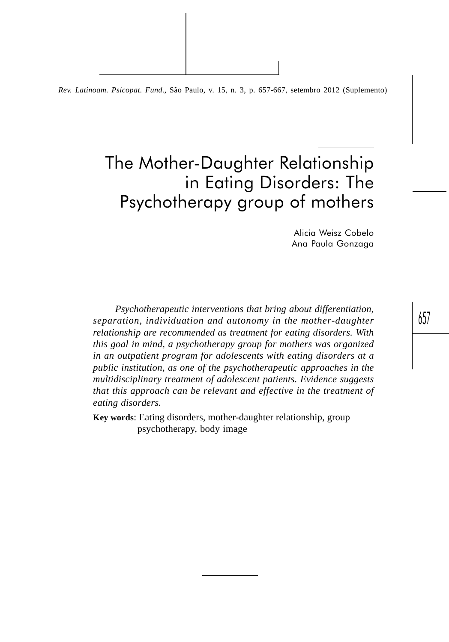*Rev. Latinoam. Psicopat. Fund*., São Paulo, v. 15, n. 3, p. 657-667, setembro 2012 (Suplemento)

# The Mother-Daughter Relationship in Eating Disorders: The Psychotherapy group of mothers

Alicia Weisz Cobelo Ana Paula Gonzaga

*Psychotherapeutic interventions that bring about differentiation, separation, individuation and autonomy in the mother-daughter relationship are recommended as treatment for eating disorders. With this goal in mind, a psychotherapy group for mothers was organized in an outpatient program for adolescents with eating disorders at a public institution, as one of the psychotherapeutic approaches in the multidisciplinary treatment of adolescent patients. Evidence suggests that this approach can be relevant and effective in the treatment of eating disorders.*

**Key words**: Eating disorders, mother-daughter relationship, group psychotherapy, body image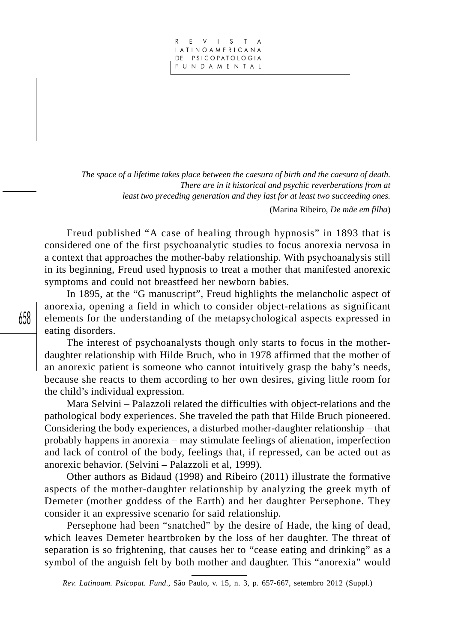REVISTA LATINOAMERICANA DE PSICOPATOLOGIA FUNDAMENTAL

*The space of a lifetime takes place between the caesura of birth and the caesura of death. There are in it historical and psychic reverberations from at least two preceding generation and they last for at least two succeeding ones.*

(Marina Ribeiro, *De mãe em filha*)

Freud published "A case of healing through hypnosis" in 1893 that is considered one of the first psychoanalytic studies to focus anorexia nervosa in a context that approaches the mother-baby relationship. With psychoanalysis still in its beginning, Freud used hypnosis to treat a mother that manifested anorexic symptoms and could not breastfeed her newborn babies.

In 1895, at the "G manuscript", Freud highlights the melancholic aspect of anorexia, opening a field in which to consider object-relations as significant elements for the understanding of the metapsychological aspects expressed in eating disorders.

The interest of psychoanalysts though only starts to focus in the motherdaughter relationship with Hilde Bruch, who in 1978 affirmed that the mother of an anorexic patient is someone who cannot intuitively grasp the baby's needs, because she reacts to them according to her own desires, giving little room for the child's individual expression.

Mara Selvini – Palazzoli related the difficulties with object-relations and the pathological body experiences. She traveled the path that Hilde Bruch pioneered. Considering the body experiences, a disturbed mother-daughter relationship – that probably happens in anorexia – may stimulate feelings of alienation, imperfection and lack of control of the body, feelings that, if repressed, can be acted out as anorexic behavior. (Selvini – Palazzoli et al, 1999).

Other authors as Bidaud (1998) and Ribeiro (2011) illustrate the formative aspects of the mother-daughter relationship by analyzing the greek myth of Demeter (mother goddess of the Earth) and her daughter Persephone. They consider it an expressive scenario for said relationship.

Persephone had been "snatched" by the desire of Hade, the king of dead, which leaves Demeter heartbroken by the loss of her daughter. The threat of separation is so frightening, that causes her to "cease eating and drinking" as a symbol of the anguish felt by both mother and daughter. This "anorexia" would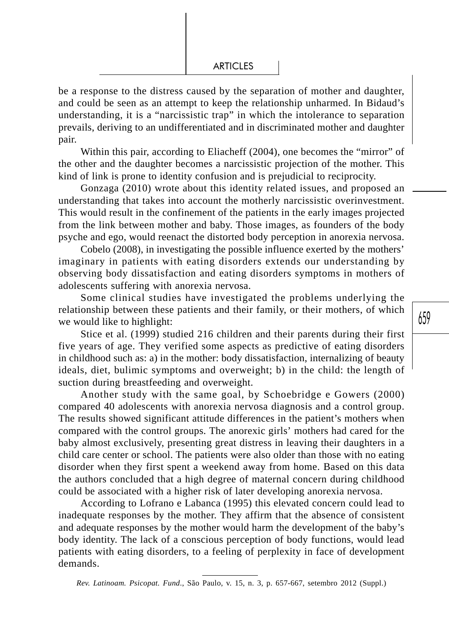be a response to the distress caused by the separation of mother and daughter, and could be seen as an attempt to keep the relationship unharmed. In Bidaud's understanding, it is a "narcissistic trap" in which the intolerance to separation prevails, deriving to an undifferentiated and in discriminated mother and daughter pair.

Within this pair, according to Eliacheff (2004), one becomes the "mirror" of the other and the daughter becomes a narcissistic projection of the mother. This kind of link is prone to identity confusion and is prejudicial to reciprocity.

Gonzaga (2010) wrote about this identity related issues, and proposed an understanding that takes into account the motherly narcissistic overinvestment. This would result in the confinement of the patients in the early images projected from the link between mother and baby. Those images, as founders of the body psyche and ego, would reenact the distorted body perception in anorexia nervosa.

Cobelo (2008), in investigating the possible influence exerted by the mothers' imaginary in patients with eating disorders extends our understanding by observing body dissatisfaction and eating disorders symptoms in mothers of adolescents suffering with anorexia nervosa.

Some clinical studies have investigated the problems underlying the relationship between these patients and their family, or their mothers, of which we would like to highlight:

Stice et al. (1999) studied 216 children and their parents during their first five years of age. They verified some aspects as predictive of eating disorders in childhood such as: a) in the mother: body dissatisfaction, internalizing of beauty ideals, diet, bulimic symptoms and overweight; b) in the child: the length of suction during breastfeeding and overweight.

Another study with the same goal, by Schoebridge e Gowers (2000) compared 40 adolescents with anorexia nervosa diagnosis and a control group. The results showed significant attitude differences in the patient's mothers when compared with the control groups. The anorexic girls' mothers had cared for the baby almost exclusively, presenting great distress in leaving their daughters in a child care center or school. The patients were also older than those with no eating disorder when they first spent a weekend away from home. Based on this data the authors concluded that a high degree of maternal concern during childhood could be associated with a higher risk of later developing anorexia nervosa.

According to Lofrano e Labanca (1995) this elevated concern could lead to inadequate responses by the mother. They affirm that the absence of consistent and adequate responses by the mother would harm the development of the baby's body identity. The lack of a conscious perception of body functions, would lead patients with eating disorders, to a feeling of perplexity in face of development demands.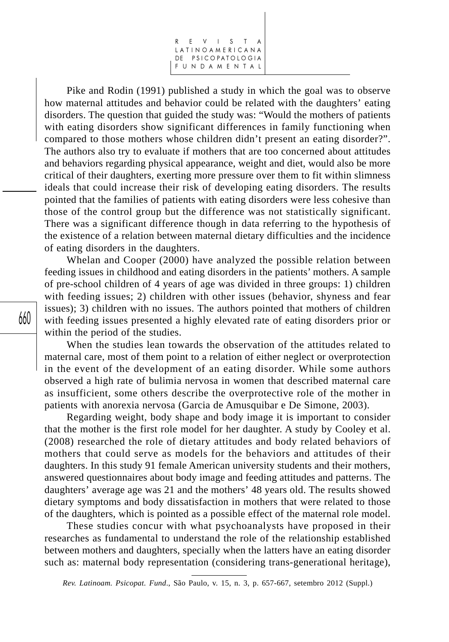REVISTA LATINOAMERICANA DE PSICOPATOLOGIA FUNDAMENTAL

Pike and Rodin (1991) published a study in which the goal was to observe how maternal attitudes and behavior could be related with the daughters' eating disorders. The question that guided the study was: "Would the mothers of patients with eating disorders show significant differences in family functioning when compared to those mothers whose children didn't present an eating disorder?". The authors also try to evaluate if mothers that are too concerned about attitudes and behaviors regarding physical appearance, weight and diet, would also be more critical of their daughters, exerting more pressure over them to fit within slimness ideals that could increase their risk of developing eating disorders. The results pointed that the families of patients with eating disorders were less cohesive than those of the control group but the difference was not statistically significant. There was a significant difference though in data referring to the hypothesis of the existence of a relation between maternal dietary difficulties and the incidence of eating disorders in the daughters.

Whelan and Cooper (2000) have analyzed the possible relation between feeding issues in childhood and eating disorders in the patients' mothers. A sample of pre-school children of 4 years of age was divided in three groups: 1) children with feeding issues; 2) children with other issues (behavior, shyness and fear issues); 3) children with no issues. The authors pointed that mothers of children with feeding issues presented a highly elevated rate of eating disorders prior or within the period of the studies.

When the studies lean towards the observation of the attitudes related to maternal care, most of them point to a relation of either neglect or overprotection in the event of the development of an eating disorder. While some authors observed a high rate of bulimia nervosa in women that described maternal care as insufficient, some others describe the overprotective role of the mother in patients with anorexia nervosa (Garcia de Amusquibar e De Simone, 2003).

Regarding weight, body shape and body image it is important to consider that the mother is the first role model for her daughter. A study by Cooley et al. (2008) researched the role of dietary attitudes and body related behaviors of mothers that could serve as models for the behaviors and attitudes of their daughters. In this study 91 female American university students and their mothers, answered questionnaires about body image and feeding attitudes and patterns. The daughters' average age was 21 and the mothers' 48 years old. The results showed dietary symptoms and body dissatisfaction in mothers that were related to those of the daughters, which is pointed as a possible effect of the maternal role model.

These studies concur with what psychoanalysts have proposed in their researches as fundamental to understand the role of the relationship established between mothers and daughters, specially when the latters have an eating disorder such as: maternal body representation (considering trans-generational heritage),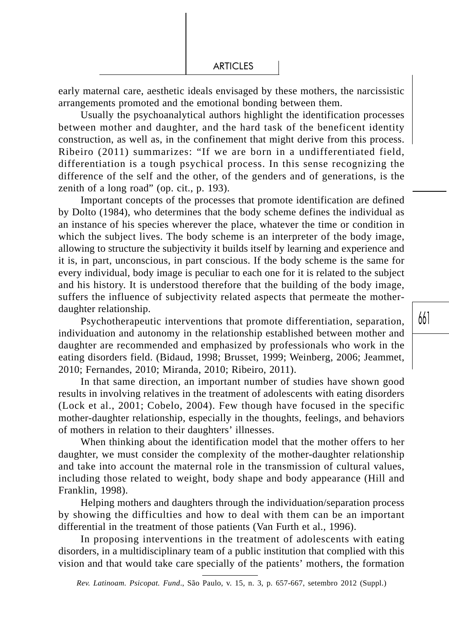early maternal care, aesthetic ideals envisaged by these mothers, the narcissistic arrangements promoted and the emotional bonding between them.

Usually the psychoanalytical authors highlight the identification processes between mother and daughter, and the hard task of the beneficent identity construction, as well as, in the confinement that might derive from this process. Ribeiro (2011) summarizes: "If we are born in a undifferentiated field, differentiation is a tough psychical process. In this sense recognizing the difference of the self and the other, of the genders and of generations, is the zenith of a long road" (op. cit., p. 193).

Important concepts of the processes that promote identification are defined by Dolto (1984), who determines that the body scheme defines the individual as an instance of his species wherever the place, whatever the time or condition in which the subject lives. The body scheme is an interpreter of the body image, allowing to structure the subjectivity it builds itself by learning and experience and it is, in part, unconscious, in part conscious. If the body scheme is the same for every individual, body image is peculiar to each one for it is related to the subject and his history. It is understood therefore that the building of the body image, suffers the influence of subjectivity related aspects that permeate the motherdaughter relationship.

Psychotherapeutic interventions that promote differentiation, separation, individuation and autonomy in the relationship established between mother and daughter are recommended and emphasized by professionals who work in the eating disorders field. (Bidaud, 1998; Brusset, 1999; Weinberg, 2006; Jeammet, 2010; Fernandes, 2010; Miranda, 2010; Ribeiro, 2011).

In that same direction, an important number of studies have shown good results in involving relatives in the treatment of adolescents with eating disorders (Lock et al., 2001; Cobelo, 2004). Few though have focused in the specific mother-daughter relationship, especially in the thoughts, feelings, and behaviors of mothers in relation to their daughters' illnesses.

When thinking about the identification model that the mother offers to her daughter, we must consider the complexity of the mother-daughter relationship and take into account the maternal role in the transmission of cultural values, including those related to weight, body shape and body appearance (Hill and Franklin, 1998).

Helping mothers and daughters through the individuation/separation process by showing the difficulties and how to deal with them can be an important differential in the treatment of those patients (Van Furth et al., 1996).

In proposing interventions in the treatment of adolescents with eating disorders, in a multidisciplinary team of a public institution that complied with this vision and that would take care specially of the patients' mothers, the formation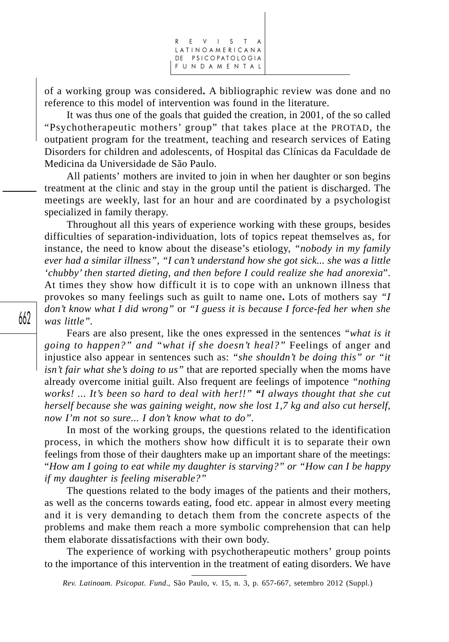R E V I S T LATINOAMERICANA DE PSICOPATOLOGIA FUNDAMENTAL

of a working group was considered**.** A bibliographic review was done and no reference to this model of intervention was found in the literature.

It was thus one of the goals that guided the creation, in 2001, of the so called "Psychotherapeutic mothers' group" that takes place at the PROTAD, the outpatient program for the treatment, teaching and research services of Eating Disorders for children and adolescents, of Hospital das Clínicas da Faculdade de Medicina da Universidade de São Paulo.

All patients' mothers are invited to join in when her daughter or son begins treatment at the clinic and stay in the group until the patient is discharged. The meetings are weekly, last for an hour and are coordinated by a psychologist specialized in family therapy.

Throughout all this years of experience working with these groups, besides difficulties of separation-individuation, lots of topics repeat themselves as, for instance, the need to know about the disease's etiology, *"nobody in my family ever had a similar illness", "I can't understand how she got sick... she was a little 'chubby' then started dieting, and then before I could realize she had anorexia*". At times they show how difficult it is to cope with an unknown illness that provokes so many feelings such as guilt to name one**.** Lots of mothers say *"I don't know what I did wrong"* or *"I guess it is because I force-fed her when she was little".*

Fears are also present, like the ones expressed in the sentences *"what is it going to happen?" and "what if she doesn't heal?"* Feelings of anger and injustice also appear in sentences such as: *"she shouldn't be doing this" or "it isn't fair what she's doing to us"* that are reported specially when the moms have already overcome initial guilt. Also frequent are feelings of impotence *"nothing works! ... It's been so hard to deal with her!!" "I always thought that she cut herself because she was gaining weight, now she lost 1,7 kg and also cut herself, now I'm not so sure... I don't know what to do".*

In most of the working groups, the questions related to the identification process, in which the mothers show how difficult it is to separate their own feelings from those of their daughters make up an important share of the meetings: "*How am I going to eat while my daughter is starving?" or "How can I be happy if my daughter is feeling miserable?"*

The questions related to the body images of the patients and their mothers, as well as the concerns towards eating, food etc. appear in almost every meeting and it is very demanding to detach them from the concrete aspects of the problems and make them reach a more symbolic comprehension that can help them elaborate dissatisfactions with their own body.

The experience of working with psychotherapeutic mothers' group points to the importance of this intervention in the treatment of eating disorders. We have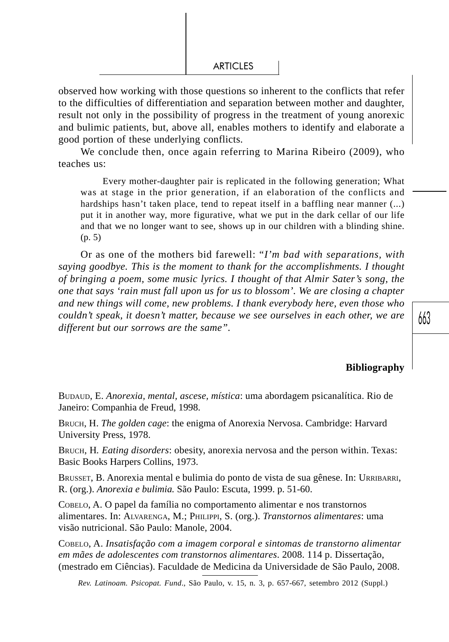observed how working with those questions so inherent to the conflicts that refer to the difficulties of differentiation and separation between mother and daughter, result not only in the possibility of progress in the treatment of young anorexic and bulimic patients, but, above all, enables mothers to identify and elaborate a good portion of these underlying conflicts.

We conclude then, once again referring to Marina Ribeiro (2009), who teaches us:

Every mother-daughter pair is replicated in the following generation; What was at stage in the prior generation, if an elaboration of the conflicts and hardships hasn't taken place, tend to repeat itself in a baffling near manner (...) put it in another way, more figurative, what we put in the dark cellar of our life and that we no longer want to see, shows up in our children with a blinding shine. (p. 5)

Or as one of the mothers bid farewell: "*I'm bad with separations, with saying goodbye. This is the moment to thank for the accomplishments. I thought of bringing a poem, some music lyrics. I thought of that Almir Sater's song, the one that says 'rain must fall upon us for us to blossom'. We are closing a chapter and new things will come, new problems. I thank everybody here, even those who couldn't speak, it doesn't matter, because we see ourselves in each other, we are different but our sorrows are the same".*

## **Bibliography**

BUDAUD, E. *Anorexia, mental, ascese, mística*: uma abordagem psicanalítica. Rio de Janeiro: Companhia de Freud, 1998.

BRUCH, H. *The golden cage*: the enigma of Anorexia Nervosa. Cambridge: Harvard University Press, 1978.

BRUCH, H*. Eating disorders*: obesity, anorexia nervosa and the person within. Texas: Basic Books Harpers Collins, 1973.

BRUSSET, B. Anorexia mental e bulimia do ponto de vista de sua gênese. In: URRIBARRI, R. (org.). *Anorexia e bulimia.* São Paulo: Escuta, 1999. p. 51-60.

COBELO, A. O papel da família no comportamento alimentar e nos transtornos alimentares. In: ALVARENGA, M.; PHILIPPI, S. (org.). *Transtornos alimentares*: uma visão nutricional. São Paulo: Manole, 2004.

COBELO, A. *Insatisfação com a imagem corporal e sintomas de transtorno alimentar em mães de adolescentes com transtornos alimentares*. 2008. 114 p. Dissertação, (mestrado em Ciências). Faculdade de Medicina da Universidade de São Paulo, 2008.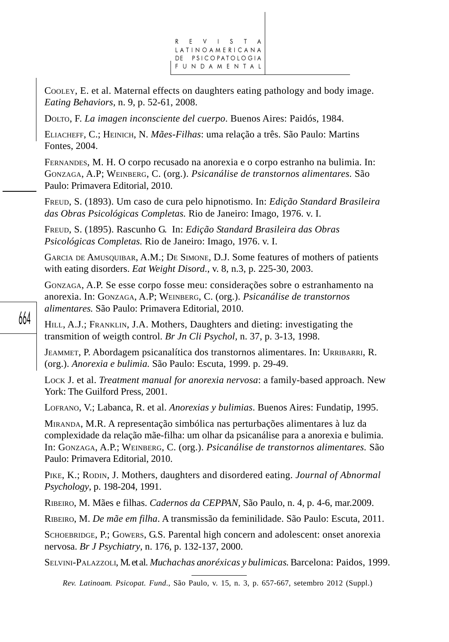

COOLEY, E. et al. Maternal effects on daughters eating pathology and body image. *Eating Behaviors,* n. 9, p. 52-61, 2008.

DOLTO, F. *La imagen inconsciente del cuerpo*. Buenos Aires: Paidós, 1984.

ELIACHEFF, C.; HEINICH, N. *Mães-Filhas*: uma relação a três. São Paulo: Martins Fontes, 2004.

FERNANDES, M. H. O corpo recusado na anorexia e o corpo estranho na bulimia. In: GONZAGA, A.P; WEINBERG, C. (org.). *Psicanálise de transtornos alimentares.* São Paulo: Primavera Editorial, 2010.

FREUD, S. (1893). Um caso de cura pelo hipnotismo. In: *Edição Standard Brasileira das Obras Psicológicas Completas.* Rio de Janeiro: Imago, 1976. v. I.

FREUD, S. (1895). Rascunho G. In: *Edição Standard Brasileira das Obras Psicológicas Completas.* Rio de Janeiro: Imago, 1976. v. I.

GARCIA DE AMUSQUIBAR, A.M.; DE SIMONE, D.J. Some features of mothers of patients with eating disorders. *Eat Weight Disord*., v. 8, n.3, p. 225-30, 2003.

GONZAGA, A.P. Se esse corpo fosse meu: considerações sobre o estranhamento na anorexia. In: GONZAGA, A.P; WEINBERG, C. (org.). *Psicanálise de transtornos alimentares.* São Paulo: Primavera Editorial, 2010.

HILL, A.J.; FRANKLIN, J.A. Mothers, Daughters and dieting: investigating the transmition of weigth control. *Br Jn Cli Psychol,* n. 37, p. 3-13, 1998.

JEAMMET, P. Abordagem psicanalítica dos transtornos alimentares. In: URRIBARRI, R. (org.). *Anorexia e bulimia.* São Paulo: Escuta, 1999. p. 29-49.

LOCK J. et al. *Treatment manual for anorexia nervosa*: a family-based approach. New York: The Guilford Press, 2001.

LOFRANO, V.; Labanca, R. et al. *Anorexias y bulimias*. Buenos Aires: Fundatip, 1995.

MIRANDA, M.R. A representação simbólica nas perturbações alimentares à luz da complexidade da relação mãe-filha: um olhar da psicanálise para a anorexia e bulimia. In: GONZAGA, A.P.; WEINBERG, C. (org.). *Psicanálise de transtornos alimentares.* São Paulo: Primavera Editorial, 2010.

PIKE, K.; RODIN, J. Mothers, daughters and disordered eating. *Journal of Abnormal Psychology*, p. 198-204, 1991.

RIBEIRO, M. Mães e filhas. *Cadernos da CEPPAN,* São Paulo, n. 4, p. 4-6, mar.2009.

RIBEIRO, M. *De mãe em filha*. A transmissão da feminilidade. São Paulo: Escuta, 2011.

SCHOEBRIDGE, P.; GOWERS, G.S. Parental high concern and adolescent: onset anorexia nervosa. *Br J Psychiatry*, n. 176, p. 132-137, 2000.

SELVINI-PALAZZOLI, M. et al. *Muchachas anoréxicas y bulimicas*. Barcelona: Paidos, 1999.

*Rev. Latinoam. Psicopat. Fund*., São Paulo, v. 15, n. 3, p. 657-667, setembro 2012 (Suppl.)

664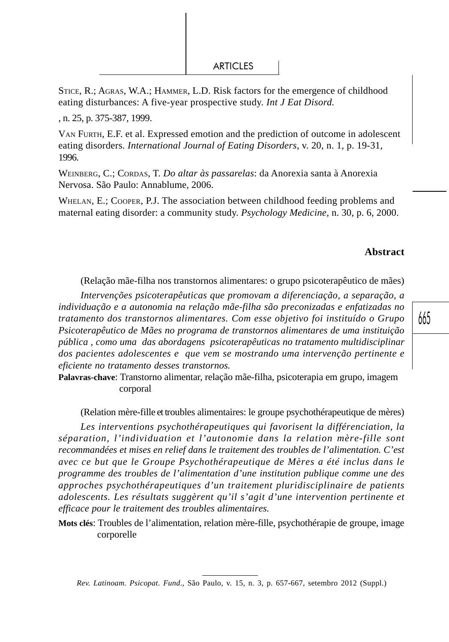STICE, R.; AGRAS, W.A.; HAMMER, L.D. Risk factors for the emergence of childhood eating disturbances: A five-year prospective study. *Int J Eat Disord.*

, n. 25, p. 375-387, 1999.

VAN FURTH, E.F. et al. Expressed emotion and the prediction of outcome in adolescent eating disorders. *International Journal of Eating Disorders*, v. 20, n. 1, p. 19-31, 1996.

WEINBERG, C.; CORDAS, T. *Do altar às passarelas*: da Anorexia santa à Anorexia Nervosa. São Paulo: Annablume, 2006.

WHELAN, E.; COOPER, P.J. The association between childhood feeding problems and maternal eating disorder: a community study. *Psychology Medicine*, n. 30, p. 6, 2000.

## **Abstract**

(Relação mãe-filha nos transtornos alimentares: o grupo psicoterapêutico de mães)

*Intervenções psicoterapêuticas que promovam a diferenciação, a separação, a individuação e a autonomia na relação mãe-filha são preconizadas e enfatizadas no tratamento dos transtornos alimentares. Com esse objetivo foi instituído o Grupo Psicoterapêutico de Mães no programa de transtornos alimentares de uma instituição pública , como uma das abordagens psicoterapêuticas no tratamento multidisciplinar dos pacientes adolescentes e que vem se mostrando uma intervenção pertinente e eficiente no tratamento desses transtornos.*

**Palavras-chave**: Transtorno alimentar, relação mãe-filha, psicoterapia em grupo, imagem corporal

(Relation mère-fille et troubles alimentaires: le groupe psychothérapeutique de mères)

*Les interventions psychothérapeutiques qui favorisent la différenciation, la séparation, l'individuation et l'autonomie dans la relation mère-fille sont recommandées et mises en relief dans le traitement des troubles de l'alimentation. C'est avec ce but que le Groupe Psychothérapeutique de Mères a été inclus dans le programme des troubles de l'alimentation d'une institution publique comme une des approches psychothérapeutiques d'un traitement pluridisciplinaire de patients adolescents. Les résultats suggèrent qu'il s'agit d'une intervention pertinente et efficace pour le traitement des troubles alimentaires.*

**Mots clés**: Troubles de l'alimentation, relation mère-fille, psychothérapie de groupe, image corporelle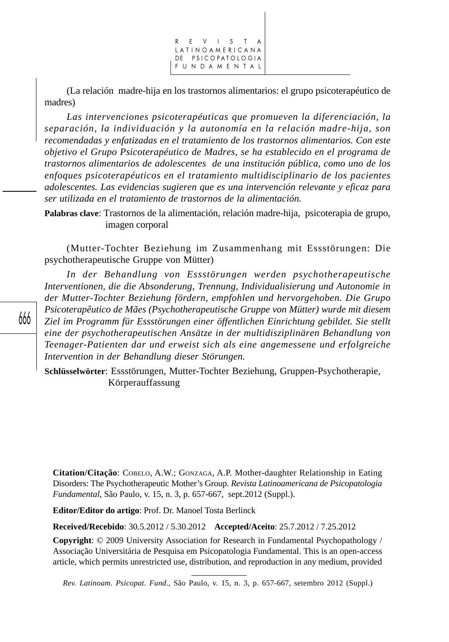REVISTA LATINOAMERICANA DE PSICOPATOLOGIA FUNDAMENTAL

(La relación madre-hija en los trastornos alimentarios: el grupo psicoterapéutico de madres)

*Las intervenciones psicoterapéuticas que promueven la diferenciación, la separación, la individuación y la autonomía en la relación madre-hija, son recomendadas y enfatizadas en el tratamiento de los trastornos alimentarios. Con este objetivo el Grupo Psicoterapéutico de Madres, se ha establecido en el programa de trastornos alimentarios de adolescentes de una institución pública, como uno de los enfoques psicoterapéuticos en el tratamiento multidisciplinario de los pacientes adolescentes. Las evidencias sugieren que es una intervención relevante y eficaz para ser utilizada en el tratamiento de trastornos de la alimentación.*

**Palabras clave**: Trastornos de la alimentación, relación madre-hija, psicoterapia de grupo, imagen corporal

(Mutter-Tochter Beziehung im Zusammenhang mit Essstörungen: Die psychotherapeutische Gruppe von Mütter)

*In der Behandlung von Essstörungen werden psychotherapeutische Interventionen, die die Absonderung, Trennung, Individualisierung und Autonomie in der Mutter-Tochter Beziehung fördern, empfohlen und hervorgehoben. Die Grupo Psicoterapêutico de Mães (Psychotherapeutische Gruppe von Mütter) wurde mit diesem Ziel im Programm für Essstörungen einer öffentlichen Einrichtung gebildet. Sie stellt eine der psychotherapeutischen Ansätze in der multidisziplinären Behandlung von Teenager-Patienten dar und erweist sich als eine angemessene und erfolgreiche Intervention in der Behandlung dieser Störungen.*

**Schlüsselwörter**: Essstörungen, Mutter-Tochter Beziehung, Gruppen-Psychotherapie, Körperauffassung

**Citation/Citação**: COBELO, A.W.; GONZAGA, A.P. Mother-daughter Relationship in Eating Disorders: The Psychotherapeutic Mother's Group. *Revista Latinoamericana de Psicopatologia Fundamental*, São Paulo, v. 15, n. 3, p. 657-667, sept.2012 (Suppl.).

**Editor/Editor do artigo**: Prof. Dr. Manoel Tosta Berlinck

**Received/Recebido**: 30.5.2012 / 5.30.2012 **Accepted/Aceito**: 25.7.2012 / 7.25.2012

**Copyright**: © 2009 University Association for Research in Fundamental Psychopathology / Associação Universitária de Pesquisa em Psicopatologia Fundamental. This is an open-access article, which permits unrestricted use, distribution, and reproduction in any medium, provided